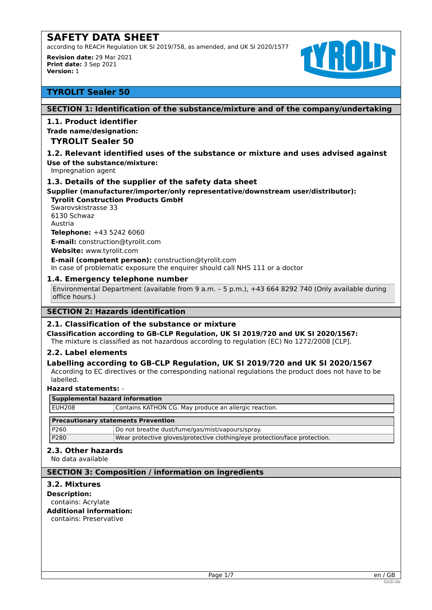according to REACH Regulation UK SI 2019/758, as amended, and UK SI 2020/1577

**Revision date:** 29 Mar 2021 **Print date:** 3 Sep 2021 **Version:** 1



# **TYROLIT Sealer 50**

# **SECTION 1: Identification of the substance/mixture and of the company/undertaking**

# **1.1. Product identifier**

#### **Trade name/designation:**

# **TYROLIT Sealer 50**

# **1.2. Relevant identified uses of the substance or mixture and uses advised against**

**Use of the substance/mixture:**

Impregnation agent

# **1.3. Details of the supplier of the safety data sheet**

**Supplier (manufacturer/importer/only representative/downstream user/distributor): Tyrolit Construction Products GmbH**

Swarovskistrasse 33 6130 Schwaz Austria **Telephone:** +43 5242 6060

**E-mail:** construction@tyrolit.com

**Website:** www.tyrolit.com

**E-mail (competent person):** construction@tyrolit.com In case of problematic exposure the enquirer should call NHS 111 or a doctor

# **1.4. Emergency telephone number**

Environmental Department (available from 9 a.m. – 5 p.m.), +43 664 8292 740 (Only available during office hours.)

# **SECTION 2: Hazards identification**

#### **2.1. Classification of the substance or mixture**

**Classification according to GB-CLP Regulation, UK SI 2019/720 and UK SI 2020/1567:**

The mixture is classified as not hazardous according to regulation (EC) No 1272/2008 [CLP].

P280 Wear protective gloves/protective clothing/eye protection/face protection.

# **2.2. Label elements**

# **Labelling according to GB-CLP Regulation, UK SI 2019/720 and UK SI 2020/1567**

According to EC directives or the corresponding national regulations the product does not have to be labelled.

#### **Hazard statements:** -

| Supplemental hazard information            |                                                       |  |  |  |
|--------------------------------------------|-------------------------------------------------------|--|--|--|
| l EUH208                                   | Contains KATHON CG. May produce an allergic reaction. |  |  |  |
| <b>Precautionary statements Prevention</b> |                                                       |  |  |  |
| P260                                       | Do not breathe dust/fume/gas/mist/vapours/spray.      |  |  |  |

#### **2.3. Other hazards**

No data available

### **SECTION 3: Composition / information on ingredients**

# **3.2. Mixtures**

**Description:** contains: Acrylate

#### **Additional information:**

contains: Preservative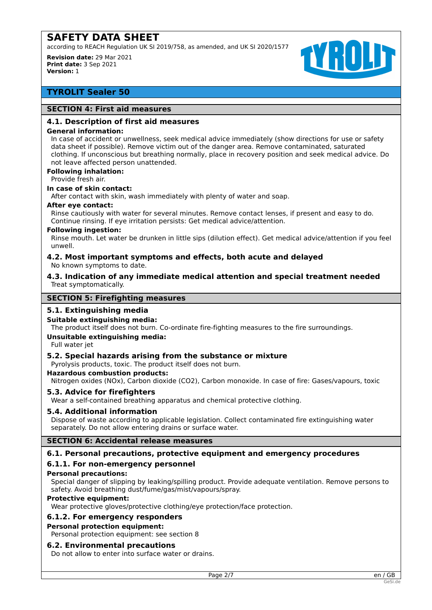according to REACH Regulation UK SI 2019/758, as amended, and UK SI 2020/1577

**Revision date:** 29 Mar 2021 **Print date:** 3 Sep 2021 **Version:** 1



# **TYROLIT Sealer 50**

# **SECTION 4: First aid measures**

#### **4.1. Description of first aid measures**

#### **General information:**

In case of accident or unwellness, seek medical advice immediately (show directions for use or safety data sheet if possible). Remove victim out of the danger area. Remove contaminated, saturated clothing. If unconscious but breathing normally, place in recovery position and seek medical advice. Do not leave affected person unattended.

# **Following inhalation:**

Provide fresh air.

# **In case of skin contact:**

After contact with skin, wash immediately with plenty of water and soap.

#### **After eye contact:**

Rinse cautiously with water for several minutes. Remove contact lenses, if present and easy to do. Continue rinsing. If eye irritation persists: Get medical advice/attention.

#### **Following ingestion:**

Rinse mouth. Let water be drunken in little sips (dilution effect). Get medical advice/attention if you feel unwell.

#### **4.2. Most important symptoms and effects, both acute and delayed** No known symptoms to date.

**4.3. Indication of any immediate medical attention and special treatment needed** Treat symptomatically.

#### **SECTION 5: Firefighting measures**

# **5.1. Extinguishing media**

#### **Suitable extinguishing media:**

The product itself does not burn. Co-ordinate fire-fighting measures to the fire surroundings.

#### **Unsuitable extinguishing media:**

Full water jet

#### **5.2. Special hazards arising from the substance or mixture**

Pyrolysis products, toxic. The product itself does not burn.

#### **Hazardous combustion products:**

Nitrogen oxides (NOx), Carbon dioxide (CO2), Carbon monoxide. In case of fire: Gases/vapours, toxic

#### **5.3. Advice for firefighters**

Wear a self-contained breathing apparatus and chemical protective clothing.

#### **5.4. Additional information**

Dispose of waste according to applicable legislation. Collect contaminated fire extinguishing water separately. Do not allow entering drains or surface water.

# **SECTION 6: Accidental release measures**

#### **6.1. Personal precautions, protective equipment and emergency procedures**

# **6.1.1. For non-emergency personnel**

#### **Personal precautions:**

Special danger of slipping by leaking/spilling product. Provide adequate ventilation. Remove persons to safety. Avoid breathing dust/fume/gas/mist/vapours/spray.

#### **Protective equipment:**

Wear protective gloves/protective clothing/eye protection/face protection.

#### **6.1.2. For emergency responders**

#### **Personal protection equipment:**

Personal protection equipment: see section 8

#### **6.2. Environmental precautions**

Do not allow to enter into surface water or drains.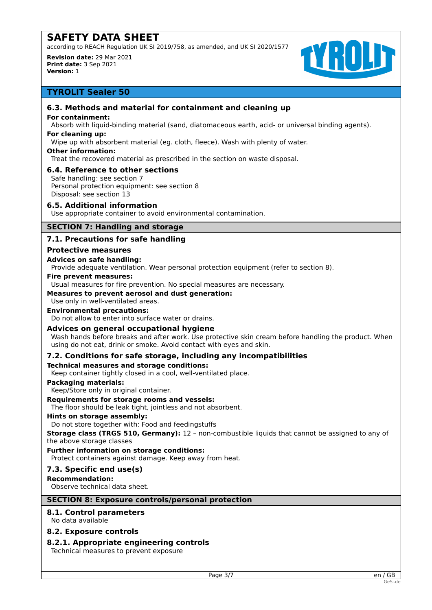according to REACH Regulation UK SI 2019/758, as amended, and UK SI 2020/1577

**Revision date:** 29 Mar 2021 **Print date:** 3 Sep 2021 **Version:** 1



# **TYROLIT Sealer 50**

# **6.3. Methods and material for containment and cleaning up**

#### **For containment:**

Absorb with liquid-binding material (sand, diatomaceous earth, acid- or universal binding agents).

# **For cleaning up:**

Wipe up with absorbent material (eg. cloth, fleece). Wash with plenty of water.

#### **Other information:**

Treat the recovered material as prescribed in the section on waste disposal.

# **6.4. Reference to other sections**

Safe handling: see section 7 Personal protection equipment: see section 8 Disposal: see section 13

# **6.5. Additional information**

Use appropriate container to avoid environmental contamination.

# **SECTION 7: Handling and storage**

# **7.1. Precautions for safe handling**

#### **Protective measures**

#### **Advices on safe handling:**

Provide adequate ventilation. Wear personal protection equipment (refer to section 8).

#### **Fire prevent measures:**

Usual measures for fire prevention. No special measures are necessary.

#### **Measures to prevent aerosol and dust generation:**

Use only in well-ventilated areas.

# **Environmental precautions:**

Do not allow to enter into surface water or drains.

# **Advices on general occupational hygiene**

Wash hands before breaks and after work. Use protective skin cream before handling the product. When using do not eat, drink or smoke. Avoid contact with eyes and skin.

# **7.2. Conditions for safe storage, including any incompatibilities**

#### **Technical measures and storage conditions:**

Keep container tightly closed in a cool, well-ventilated place.

#### **Packaging materials:**

Keep/Store only in original container.

# **Requirements for storage rooms and vessels:**

The floor should be leak tight, jointless and not absorbent.

### **Hints on storage assembly:**

Do not store together with: Food and feedingstuffs

**Storage class (TRGS 510, Germany):** 12 – non-combustible liquids that cannot be assigned to any of the above storage classes

#### **Further information on storage conditions:**

Protect containers against damage. Keep away from heat.

#### **7.3. Specific end use(s)**

**Recommendation:**

Observe technical data sheet.

#### **SECTION 8: Exposure controls/personal protection**

# **8.1. Control parameters**

No data available

# **8.2. Exposure controls**

# **8.2.1. Appropriate engineering controls**

Technical measures to prevent exposure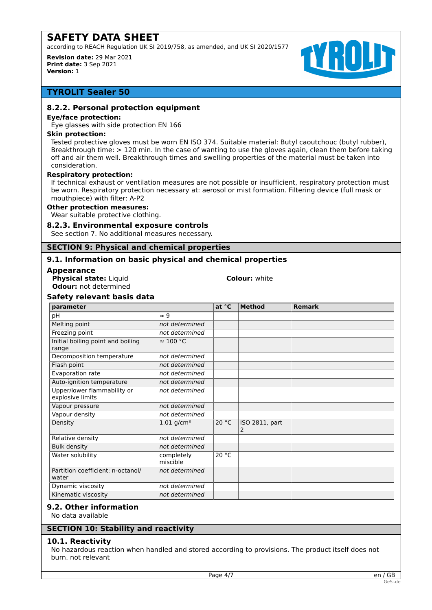according to REACH Regulation UK SI 2019/758, as amended, and UK SI 2020/1577

**Revision date:** 29 Mar 2021 **Print date:** 3 Sep 2021 **Version:** 1



# **TYROLIT Sealer 50**

# **8.2.2. Personal protection equipment**

#### **Eye/face protection:**

Eye glasses with side protection EN 166

#### **Skin protection:**

Tested protective gloves must be worn EN ISO 374. Suitable material: Butyl caoutchouc (butyl rubber), Breakthrough time: > 120 min. In the case of wanting to use the gloves again, clean them before taking off and air them well. Breakthrough times and swelling properties of the material must be taken into consideration.

#### **Respiratory protection:**

If technical exhaust or ventilation measures are not possible or insufficient, respiratory protection must be worn. Respiratory protection necessary at: aerosol or mist formation. Filtering device (full mask or mouthpiece) with filter: A-P2

#### **Other protection measures:**

Wear suitable protective clothing.

#### **8.2.3. Environmental exposure controls**

See section 7. No additional measures necessary.

#### **SECTION 9: Physical and chemical properties**

# **9.1. Information on basic physical and chemical properties**

#### **Appearance**

**Physical state:** Liquid **Colour:** white **Odour:** not determined

# **Safety relevant basis data**

| parameter                                       |                          | at °C | <b>Method</b>       | <b>Remark</b> |
|-------------------------------------------------|--------------------------|-------|---------------------|---------------|
| pH                                              | $\approx 9$              |       |                     |               |
| <b>Melting point</b>                            | not determined           |       |                     |               |
| Freezing point                                  | not determined           |       |                     |               |
| Initial boiling point and boiling<br>range      | $\approx 100$ °C         |       |                     |               |
| Decomposition temperature                       | not determined           |       |                     |               |
| Flash point                                     | not determined           |       |                     |               |
| Evaporation rate                                | not determined           |       |                     |               |
| Auto-ignition temperature                       | not determined           |       |                     |               |
| Upper/lower flammability or<br>explosive limits | not determined           |       |                     |               |
| Vapour pressure                                 | not determined           |       |                     |               |
| Vapour density                                  | not determined           |       |                     |               |
| Density                                         | $1.01$ g/cm <sup>3</sup> | 20 °C | ISO 2811, part<br>2 |               |
| Relative density                                | not determined           |       |                     |               |
| <b>Bulk density</b>                             | not determined           |       |                     |               |
| Water solubility                                | completely<br>miscible   | 20 °C |                     |               |
| Partition coefficient: n-octanol/<br>water      | not determined           |       |                     |               |
| Dynamic viscosity                               | not determined           |       |                     |               |
| Kinematic viscosity                             | not determined           |       |                     |               |

# **9.2. Other information**

No data available

#### **10.1. Reactivity**

No hazardous reaction when handled and stored according to provisions. The product itself does not burn. not relevant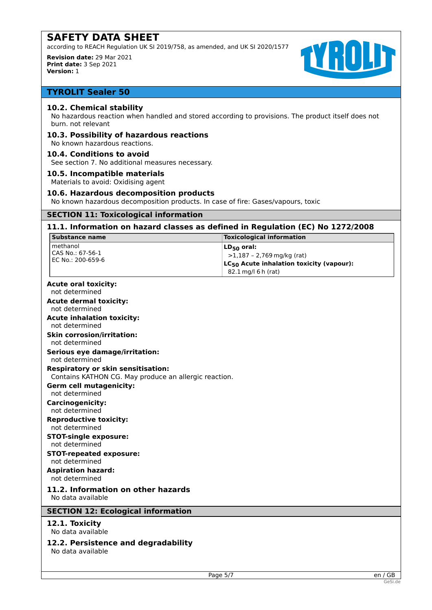according to REACH Regulation UK SI 2019/758, as amended, and UK SI 2020/1577

**Revision date:** 29 Mar 2021 **Print date:** 3 Sep 2021 **Version:** 1



# **TYROLIT Sealer 50**

# **10.2. Chemical stability**

No hazardous reaction when handled and stored according to provisions. The product itself does not burn. not relevant

# **10.3. Possibility of hazardous reactions**

No known hazardous reactions.

# **10.4. Conditions to avoid**

See section 7. No additional measures necessary.

#### **10.5. Incompatible materials**

Materials to avoid: Oxidising agent

# **10.6. Hazardous decomposition products**

No known hazardous decomposition products. In case of fire: Gases/vapours, toxic

# **SECTION 11: Toxicological information**

# **11.1. Information on hazard classes as defined in Regulation (EC) No 1272/2008**

| <b>Substance name</b>                                                                              | <b>Toxicological information</b>                                                                                               |
|----------------------------------------------------------------------------------------------------|--------------------------------------------------------------------------------------------------------------------------------|
| methanol<br>CAS No.: 67-56-1<br>EC No.: 200-659-6                                                  | $LD_{50}$ oral:<br>$>1,187 - 2,769$ mg/kg (rat)<br>LC <sub>50</sub> Acute inhalation toxicity (vapour):<br>82.1 mg/l 6 h (rat) |
| <b>Acute oral toxicity:</b><br>not determined                                                      |                                                                                                                                |
| <b>Acute dermal toxicity:</b><br>not determined                                                    |                                                                                                                                |
| <b>Acute inhalation toxicity:</b><br>not determined                                                |                                                                                                                                |
| <b>Skin corrosion/irritation:</b><br>not determined                                                |                                                                                                                                |
| <b>Serious eye damage/irritation:</b><br>not determined                                            |                                                                                                                                |
| <b>Respiratory or skin sensitisation:</b><br>Contains KATHON CG. May produce an allergic reaction. |                                                                                                                                |
| <b>Germ cell mutagenicity:</b><br>not determined                                                   |                                                                                                                                |
| Carcinogenicity:<br>not determined                                                                 |                                                                                                                                |
| <b>Reproductive toxicity:</b><br>not determined                                                    |                                                                                                                                |
| <b>STOT-single exposure:</b><br>not determined                                                     |                                                                                                                                |
| <b>STOT-repeated exposure:</b><br>not determined                                                   |                                                                                                                                |
| <b>Aspiration hazard:</b><br>not determined                                                        |                                                                                                                                |
| 11.2. Information on other hazards<br>No data available                                            |                                                                                                                                |
| <b>SECTION 12: Ecological information</b>                                                          |                                                                                                                                |
| 12.1. Toxicity<br>No data available                                                                |                                                                                                                                |
| 12.2. Persistence and degradability<br>No data available                                           |                                                                                                                                |
|                                                                                                    |                                                                                                                                |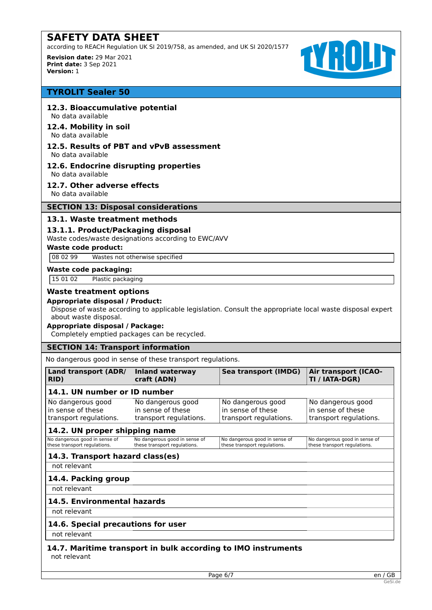according to REACH Regulation UK SI 2019/758, as amended, and UK SI 2020/1577

**Revision date:** 29 Mar 2021 **Print date:** 3 Sep 2021 **Version:** 1



# **TYROLIT Sealer 50**

# **12.3. Bioaccumulative potential**

No data available

#### **12.4. Mobility in soil** No data available

# **12.5. Results of PBT and vPvB assessment**

No data available

# **12.6. Endocrine disrupting properties**

No data available **12.7. Other adverse effects**

No data available

# **SECTION 13: Disposal considerations**

# **13.1. Waste treatment methods**

# **13.1.1. Product/Packaging disposal**

Waste codes/waste designations according to EWC/AVV

#### **Waste code product:**

08 02 99 Wastes not otherwise specified

#### **Waste code packaging:**

15 01 02 Plastic packaging

# **Waste treatment options**

#### **Appropriate disposal / Product:**

Dispose of waste according to applicable legislation. Consult the appropriate local waste disposal expert about waste disposal.

# **Appropriate disposal / Package:**

Completely emptied packages can be recycled.

#### **SECTION 14: Transport information**

No dangerous good in sense of these transport regulations.

| Land transport (ADR/<br>RID)                                     | <b>Inland waterway</b><br>craft (ADN)                            | Sea transport (IMDG)                                             | <b>Air transport (ICAO-</b><br>TI / IATA-DGR)                    |
|------------------------------------------------------------------|------------------------------------------------------------------|------------------------------------------------------------------|------------------------------------------------------------------|
| 14.1. UN number or ID number                                     |                                                                  |                                                                  |                                                                  |
| No dangerous good<br>in sense of these<br>transport regulations. | No dangerous good<br>in sense of these<br>transport regulations. | No dangerous good<br>in sense of these<br>transport regulations. | No dangerous good<br>in sense of these<br>transport regulations. |
| 14.2. UN proper shipping name                                    |                                                                  |                                                                  |                                                                  |
| No dangerous good in sense of<br>these transport regulations.    | No dangerous good in sense of<br>these transport regulations.    | No dangerous good in sense of<br>these transport regulations.    | No dangerous good in sense of<br>these transport regulations.    |
| 14.3. Transport hazard class(es)                                 |                                                                  |                                                                  |                                                                  |
| not relevant                                                     |                                                                  |                                                                  |                                                                  |
| 14.4. Packing group                                              |                                                                  |                                                                  |                                                                  |
| not relevant                                                     |                                                                  |                                                                  |                                                                  |
| 14.5. Environmental hazards                                      |                                                                  |                                                                  |                                                                  |
| not relevant                                                     |                                                                  |                                                                  |                                                                  |
| 14.6. Special precautions for user                               |                                                                  |                                                                  |                                                                  |

not relevant

# **14.7. Maritime transport in bulk according to IMO instruments** not relevant